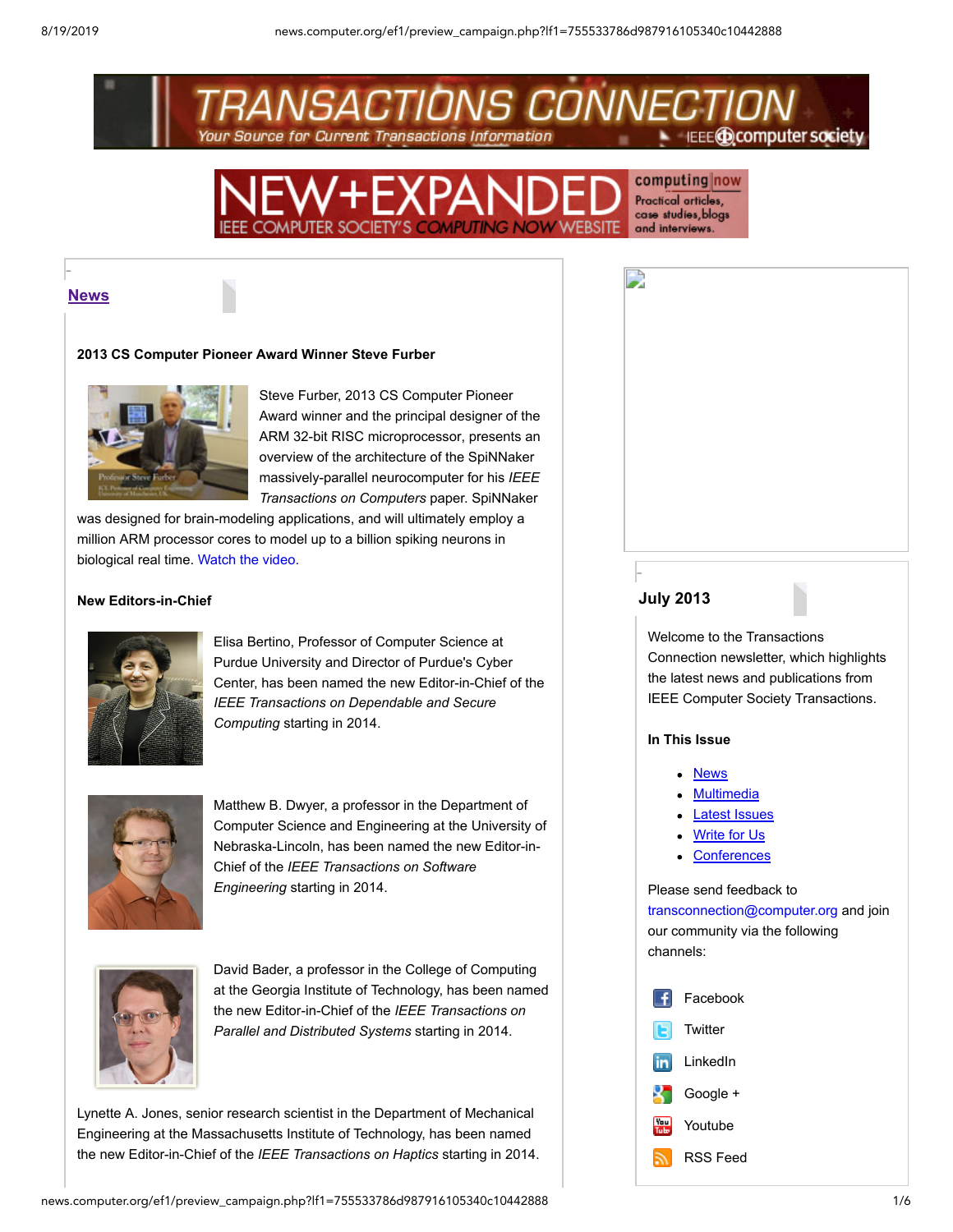



#### <span id="page-0-0"></span>**[News](http://news.computer.org/ef1/preview_campaign.php?lf1=755533786d987916105340c10442888)**

-

#### **2013 CS Computer Pioneer Award Winner Steve Furber**



Steve Furber, 2013 CS Computer Pioneer Award winner and the principal designer of the ARM 32-bit RISC microprocessor, presents an overview of the architecture of the SpiNNaker massively-parallel neurocomputer for his *IEEE Transactions on Computers* paper. SpiNNaker

was designed for brain-modeling applications, and will ultimately employ a million ARM processor cores to model up to a billion spiking neurons in biological real time. [Watch the video.](http://bit.ly/13TKAim?lf1=755533786d987916105340c10442888)

#### **New Editors-in-Chief**



Elisa Bertino, Professor of Computer Science at Purdue University and Director of Purdue's Cyber Center, has been named the new Editor-in-Chief of the *IEEE Transactions on Dependable and Secure Computing* starting in 2014.



Matthew B. Dwyer, a professor in the Department of Computer Science and Engineering at the University of Nebraska-Lincoln, has been named the new Editor-in-Chief of the *IEEE Transactions on Software Engineering* starting in 2014.



David Bader, a professor in the College of Computing at the Georgia Institute of Technology, has been named the new Editor-in-Chief of the *IEEE Transactions on Parallel and Distributed Systems* starting in 2014.

Lynette A. Jones, senior research scientist in the Department of Mechanical Engineering at the Massachusetts Institute of Technology, has been named the new Editor-in-Chief of the *IEEE Transactions on Haptics* starting in 2014.

# **July 2013**

-

D

Welcome to the Transactions Connection newsletter, which highlights the latest news and publications from IEEE Computer Society Transactions.

#### **In This Issue**

- [News](#page-0-0)
- **[Multimedia](#page-1-0)**
- **[Latest Issues](#page-2-0)**
- [Write for Us](#page-4-0)
- **[Conferences](#page-5-0)**

Please send feedback to [transconnection@computer.org](mailto:transconnection@computer.org) and join our community via the following channels:

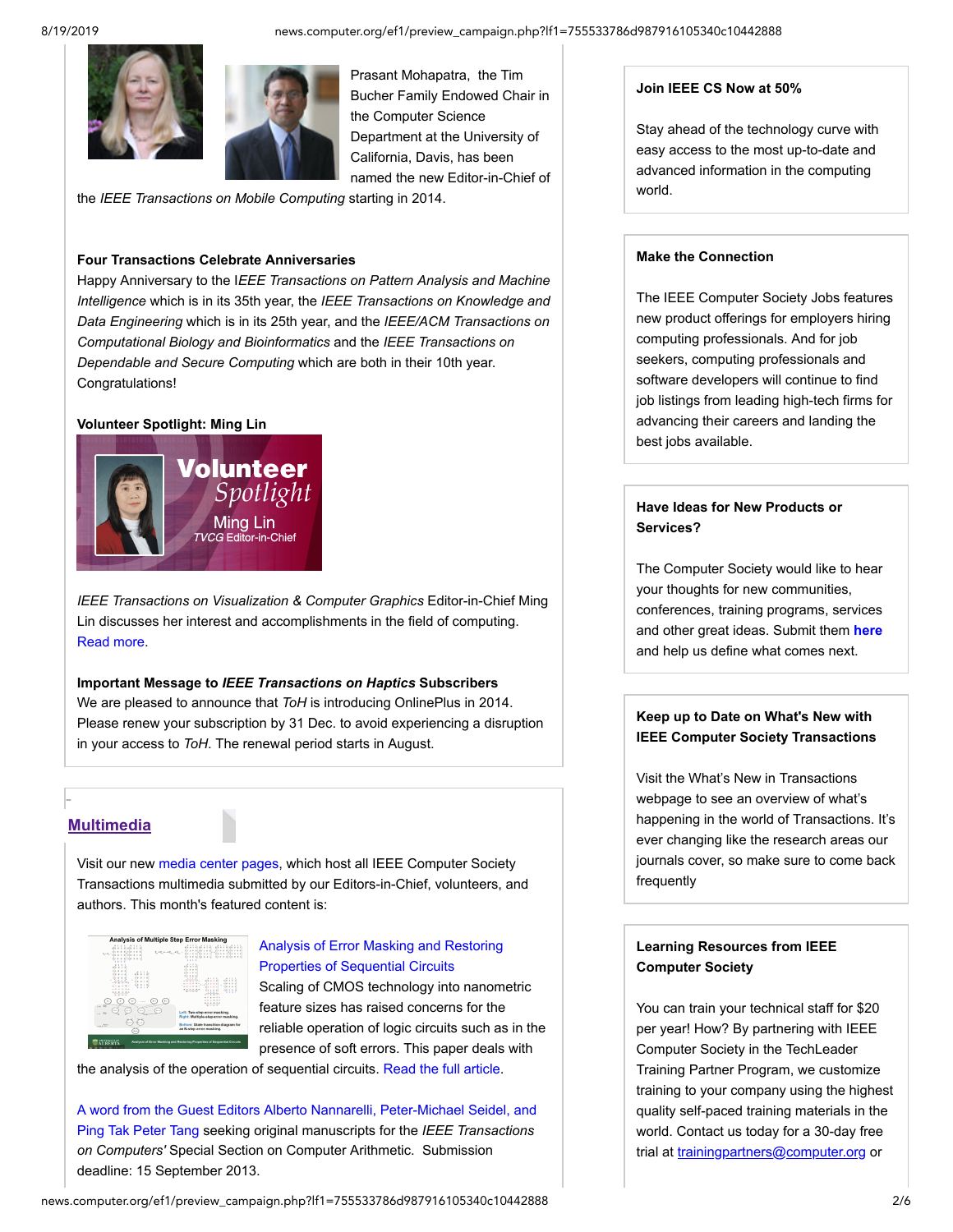



Prasant Mohapatra, the Tim Bucher Family Endowed Chair in the Computer Science Department at the University of California, Davis, has been named the new Editor-in-Chief of

the *IEEE Transactions on Mobile Computing* starting in 2014.

#### **Four Transactions Celebrate Anniversaries**

Happy Anniversary to the I*EEE Transactions on Pattern Analysis and Machine Intelligence* which is in its 35th year, the *IEEE Transactions on Knowledge and Data Engineering* which is in its 25th year, and the *IEEE/ACM Transactions on Computational Biology and Bioinformatics* and the *IEEE Transactions on Dependable and Secure Computing* which are both in their 10th year. Congratulations!

#### **Volunteer Spotlight: Ming Lin**



*IEEE Transactions on Visualization & Computer Graphics* Editor-in-Chief Ming Lin discusses her interest and accomplishments in the field of computing. [Read more.](http://www.computer.org/portal/web/publications/Spotlight-Ming-Lin?lf1=755533786d987916105340c10442888)

# **Important Message to** *IEEE Transactions on Haptics* **Subscribers**

We are pleased to announce that *ToH* is introducing OnlinePlus in 2014. Please renew your subscription by 31 Dec. to avoid experiencing a disruption in your access to *ToH*. The renewal period starts in August.

# <span id="page-1-0"></span>**[Multimedia](http://news.computer.org/ef1/preview_campaign.php?lf1=755533786d987916105340c10442888)**

-

Visit our new [media center pages](http://www.computer.org/portal/web/csmediacenter/transactions/multimedia?lf1=755533786d987916105340c10442888), which host all IEEE Computer Society Transactions multimedia submitted by our Editors-in-Chief, volunteers, and authors. This month's featured content is:



# [Analysis of Error Masking and Restoring](http://bit.ly/161Jz7B?lf1=755533786d987916105340c10442888) Properties of Sequential Circuits

Scaling of CMOS technology into nanometric feature sizes has raised concerns for the reliable operation of logic circuits such as in the presence of soft errors. This paper deals with

the analysis of the operation of sequential circuits. [Read the full article.](http://doi.ieeecomputersociety.org/10.1109/TC.2012.147?lf1=755533786d987916105340c10442888)

[A word from the Guest Editors Alberto Nannarelli, Peter-Michael Seidel, and](http://www.computer.org/portal/web/tc/multimedia?lf1=755533786d987916105340c10442888) Ping Tak Peter Tang seeking original manuscripts for the *IEEE Transactions on Computers'* Special Section on Computer Arithmetic. Submission deadline: 15 September 2013.

# **[Join IEEE CS Now at 50%](http://www.computer.org/portal/web/membership/join?lf1=755533786d987916105340c10442888)**

Stay ahead of the technology curve with easy access to the most up-to-date and advanced information in the computing world.

### **[Make the Connection](http://www.computer.org/jobs?lf1=755533786d987916105340c10442888)**

The IEEE Computer Society Jobs features new product offerings for employers hiring computing professionals. And for job seekers, computing professionals and software developers will continue to find job listings from leading high-tech firms for advancing their careers and landing the best jobs available.

# **[Have Ideas for New Products or](http://docs.google.com/a/computer.org/spreadsheet/viewform?fromEmail=true&formkey=dHUtNHNKeWRoVWNpOEg2YmRhMFdvQ0E6MQ&lf1=755533786d987916105340c10442888) Services?**

The Computer Society would like to hear your thoughts for new communities, conferences, training programs, services and other great ideas. Submit them **[here](http://docs.google.com/a/computer.org/spreadsheet/viewform?fromEmail=true&formkey=dHUtNHNKeWRoVWNpOEg2YmRhMFdvQ0E6MQ&lf1=755533786d987916105340c10442888)** and help us define what comes next.

# **Keep up to Date on What's New with [IEEE Computer Society Transactions](http://www.computer.org/portal/web/publications/transactions/whats-new?lf1=755533786d987916105340c10442888)**

Visit the What's New in Transactions webpage to see an overview of what's happening in the world of Transactions. It's ever changing like the research areas our journals cover, so make sure to come back frequently

# **[Learning Resources from IEEE](http://www.computer.org/portal/web/trainingpartners?lf1=755533786d987916105340c10442888) Computer Society**

You can train your technical staff for \$20 per year! How? By partnering with IEEE Computer Society in the TechLeader Training Partner Program, we customize training to your company using the highest quality self-paced training materials in the world. Contact us today for a 30-day free trial at [trainingpartners@computer.org](mailto:trainingpartners@computer.org) or

news.computer.org/ef1/preview\_campaign.php?lf1=755533786d987916105340c10442888 2/6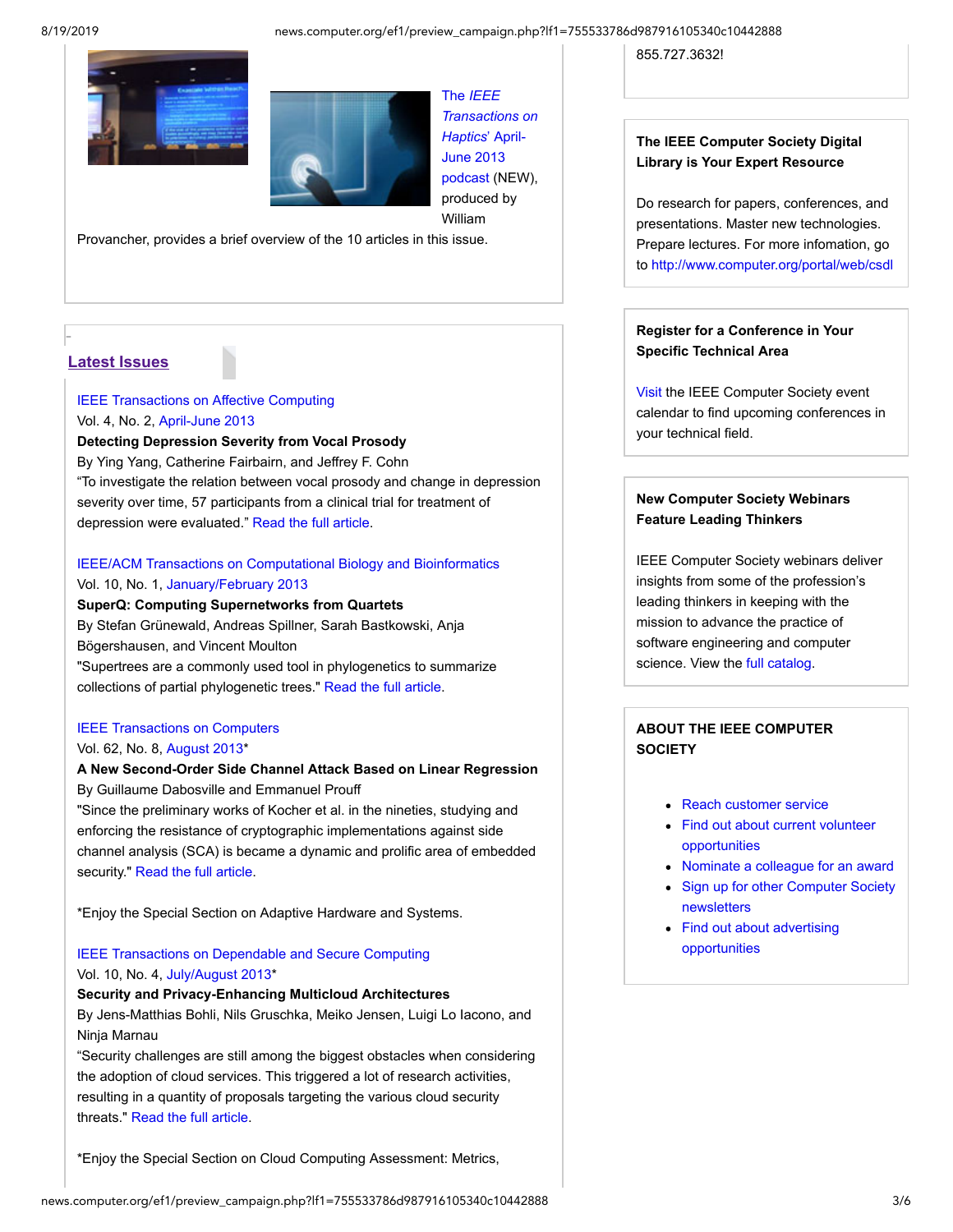#### 8/19/2019 news.computer.org/ef1/preview\_campaign.php?lf1=755533786d987916105340c10442888





The *IEEE [Transactions on](http://www.computer.org/portal/web/toh/multimedia?lf1=755533786d987916105340c10442888) Haptics*' April-June 2013 podcast (NEW), produced by William

Provancher, provides a brief overview of the 10 articles in this issue.

#### <span id="page-2-0"></span>**[Latest Issues](http://news.computer.org/ef1/preview_campaign.php?lf1=755533786d987916105340c10442888)**

-

#### [IEEE Transactions on Affective Computing](http://www.computer.org/portal/web/tac?lf1=755533786d987916105340c10442888)

#### Vol. 4, No. 2, [April-June](http://www.computer.org/csdl/trans/ta/2013/02/index.html?lf1=755533786d987916105340c10442888) [2013](http://www.computer.org/csdl/trans/ta/2013/01/index.html?lf1=755533786d987916105340c10442888)

#### **Detecting Depression Severity from Vocal Prosody**

By Ying Yang, Catherine Fairbairn, and Jeffrey F. Cohn "To investigate the relation between vocal prosody and change in depression severity over time, 57 participants from a clinical trial for treatment of depression were evaluated." [Read the full article.](http://www.computer.org/portal/web/tac?lf1=755533786d987916105340c10442888)

# [IEEE/ACM Transactions on Computational Biology and Bioinformatics](http://www.computer.org/portal/web/tcbb?lf1=755533786d987916105340c10442888)  Vol. 10, No. 1, [January/February 2013](http://www.computer.org/csdl/trans/tb/2013/01/index.html?lf1=755533786d987916105340c10442888)

#### **SuperQ: Computing Supernetworks from Quartets**

By Stefan Grünewald, Andreas Spillner, Sarah Bastkowski, Anja Bögershausen, and Vincent Moulton

"Supertrees are a commonly used tool in phylogenetics to summarize collections of partial phylogenetic trees." [Read the full article.](http://www.computer.org/portal/web/tcbb?lf1=755533786d987916105340c10442888)

# [IEEE Transactions on Computers](http://www.computer.org/portal/web/tc?lf1=755533786d987916105340c10442888)

#### Vol. 62, No. 8, [August 2013](http://www.computer.org/csdl/trans/tc/2013/08/index.html?lf1=755533786d987916105340c10442888)\*

# **A New Second-Order Side Channel Attack Based on Linear Regression** By Guillaume Dabosville and Emmanuel Prouff

"Since the preliminary works of Kocher et al. in the nineties, studying and enforcing the resistance of cryptographic implementations against side channel analysis (SCA) is became a dynamic and prolific area of embedded security." [Read the full article](http://www.computer.org/portal/web/tc?lf1=755533786d987916105340c10442888).

\*Enjoy the Special Section on Adaptive Hardware and Systems.

# [IEEE Transactions on Dependable and Secure Computing](http://www.computer.org/portal/web/tdsc?lf1=755533786d987916105340c10442888) Vol. 10, No. 4, [July/August 2013\\*](http://www.computer.org/csdl/trans/tq/2013/04/index.html?lf1=755533786d987916105340c10442888)

### **Security and Privacy-Enhancing Multicloud Architectures**

By Jens-Matthias Bohli, Nils Gruschka, Meiko Jensen, Luigi Lo Iacono, and Ninja Marnau

"Security challenges are still among the biggest obstacles when considering the adoption of cloud services. This triggered a lot of research activities, resulting in a quantity of proposals targeting the various cloud security threats." [Read the full article](http://www.computer.org/portal/web/tdsc?lf1=755533786d987916105340c10442888).

\*Enjoy the Special Section on Cloud Computing Assessment: Metrics,

855.727.3632!

# **[The IEEE Computer Society Digital](http://www.computer.org/portal/web/csdl?lf1=755533786d987916105340c10442888) Library is Your Expert Resource**

Do research for papers, conferences, and presentations. Master new technologies. Prepare lectures. For more infomation, go to [http://www.computer.org/portal/web/csdl](http://www.computer.org/portal/web/csdl?lf1=755533786d987916105340c10442888)

# **[Register for a Conference in Your](http://www.computer.org/portal/web/conferences/home?lf1=755533786d987916105340c10442888) Specific Technical Area**

[Visit](http://www.computer.org/portal/web/conferences/home?lf1=755533786d987916105340c10442888) the IEEE Computer Society event calendar to find upcoming conferences in your technical field.

# **[New Computer Society Webinars](http://www.computer.org/portal/web/webinars?lf1=755533786d987916105340c10442888) Feature Leading Thinkers**

IEEE Computer Society webinars deliver insights from some of the profession's leading thinkers in keeping with the mission to advance the practice of software engineering and computer science. View the [full catalog.](http://www.computer.org/portal/web/webinars?lf1=755533786d987916105340c10442888)

# **ABOUT THE IEEE COMPUTER SOCIETY**

- [Reach customer service](http://www.computer.org/portal/web/guest/contact?lf1=755533786d987916105340c10442888)
- [Find out about current volunteer](http://www.computer.org/portal/web/volunteercenter?lf1=755533786d987916105340c10442888) opportunities
- [Nominate a colleague for an award](http://www.computer.org/portal/web/awards?lf1=755533786d987916105340c10442888)
- [Sign up for other Computer Society](http://bell.computer.org/dl/Newsletter/newsletters.html?lf1=755533786d987916105340c10442888) newsletters
- [Find out about advertising](http://www.computer.org/portal/web/publications/advertising?lf1=755533786d987916105340c10442888) opportunities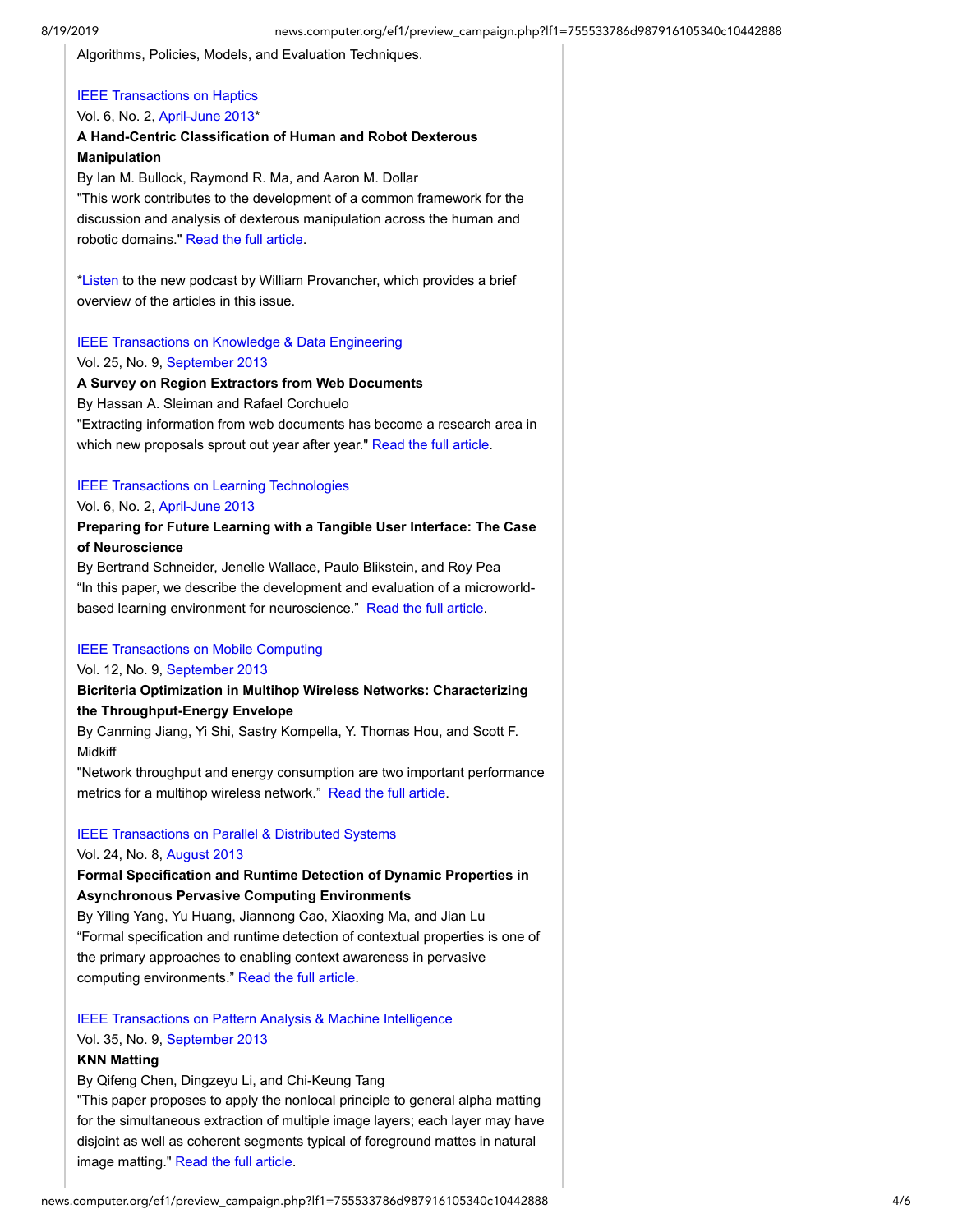Algorithms, Policies, Models, and Evaluation Techniques.

# [IEEE Transactions on Haptics](http://www.computer.org/portal/web/toh?lf1=755533786d987916105340c10442888)

# Vol. 6, No. 2, [April-June 2013\\*](http://www.computer.org/csdl/trans/th/2013/02/index.html?lf1=755533786d987916105340c10442888)

# **A Hand-Centric Classification of Human and Robot Dexterous Manipulation**

By Ian M. Bullock, Raymond R. Ma, and Aaron M. Dollar

"This work contributes to the development of a common framework for the discussion and analysis of dexterous manipulation across the human and robotic domains." [Read the full article](http://www.computer.org/portal/web/toh?lf1=755533786d987916105340c10442888).

\*[Listen](http://www.computer.org/portal/web/toh/multimedia?lf1=755533786d987916105340c10442888) to the new podcast by William Provancher, which provides a brief overview of the articles in this issue.

# [IEEE Transactions on Knowledge & Data Engineering](http://www.computer.org/portal/web/tkde?lf1=755533786d987916105340c10442888)

# Vol. 25, No. 9, [September](http://www.computer.org/csdl/trans/tk/2013/09/index.html?lf1=755533786d987916105340c10442888) [2013](http://www.computer.org/csdl/trans/tk/2013/07/index.html?lf1=755533786d987916105340c10442888)

# **A Survey on Region Extractors from Web Documents**

By Hassan A. Sleiman and Rafael Corchuelo

"Extracting information from web documents has become a research area in which new proposals sprout out year after year." [Read the full article.](http://www.computer.org/portal/web/tkde?lf1=755533786d987916105340c10442888)

# [IEEE Transactions on Learning Technologies](http://www.computer.org/portal/web/tlt?lf1=755533786d987916105340c10442888)

# Vol. 6, No. 2, [April-June 2013](http://www.computer.org/csdl/trans/lt/2013/02/index.html?lf1=755533786d987916105340c10442888)

# **Preparing for Future Learning with a Tangible User Interface: The Case of Neuroscience**

By Bertrand Schneider, Jenelle Wallace, Paulo Blikstein, and Roy Pea "In this paper, we describe the development and evaluation of a microworldbased learning environment for neuroscience." [Read the full article.](http://www.computer.org/portal/web/tlt?lf1=755533786d987916105340c10442888)

# [IEEE Transactions on Mobile Computing](http://www.computer.org/portal/web/tmc?lf1=755533786d987916105340c10442888)

# Vol. 12, No. 9, [September 2013](http://www.computer.org/csdl/trans/tm/2013/09/index.html?lf1=755533786d987916105340c10442888)

# **Bicriteria Optimization in Multihop Wireless Networks: Characterizing the Throughput-Energy Envelope**

By Canming Jiang, Yi Shi, Sastry Kompella, Y. Thomas Hou, and Scott F. Midkiff

"Network throughput and energy consumption are two important performance metrics for a multihop wireless network." [Read the full article](http://www.computer.org/portal/web/tmc?lf1=755533786d987916105340c10442888).

# [IEEE Transactions on Parallel & Distributed Systems](http://www.computer.org/portal/web/tpds?lf1=755533786d987916105340c10442888)

# Vol. 24, No. 8, [August](http://www.computer.org/csdl/trans/td/2013/08/index.html?lf1=755533786d987916105340c10442888) [2013](http://www.computer.org/csdl/trans/td/2013/07/index.html?lf1=755533786d987916105340c10442888)

# **Formal Specification and Runtime Detection of Dynamic Properties in Asynchronous Pervasive Computing Environments**

By Yiling Yang, Yu Huang, Jiannong Cao, Xiaoxing Ma, and Jian Lu "Formal specification and runtime detection of contextual properties is one of the primary approaches to enabling context awareness in pervasive computing environments." [Read the full article](http://www.computer.org/portal/web/tpds?lf1=755533786d987916105340c10442888).

# [IEEE Transactions on Pattern Analysis & Machine Intelligence](http://www.computer.org/portal/web/tpami?lf1=755533786d987916105340c10442888) Vol. 35, No. 9, [September](http://www.computer.org/csdl/trans/tp/2013/09/index.html?lf1=755533786d987916105340c10442888) [2013](http://www.computer.org/csdl/trans/tp/2013/08/index.html?lf1=755533786d987916105340c10442888) **KNN Matting**

By Qifeng Chen, Dingzeyu Li, and Chi-Keung Tang "This paper proposes to apply the nonlocal principle to general alpha matting for the simultaneous extraction of multiple image layers; each layer may have disjoint as well as coherent segments typical of foreground mattes in natural image matting." [Read the full article.](http://www.computer.org/portal/web/tpami?lf1=755533786d987916105340c10442888)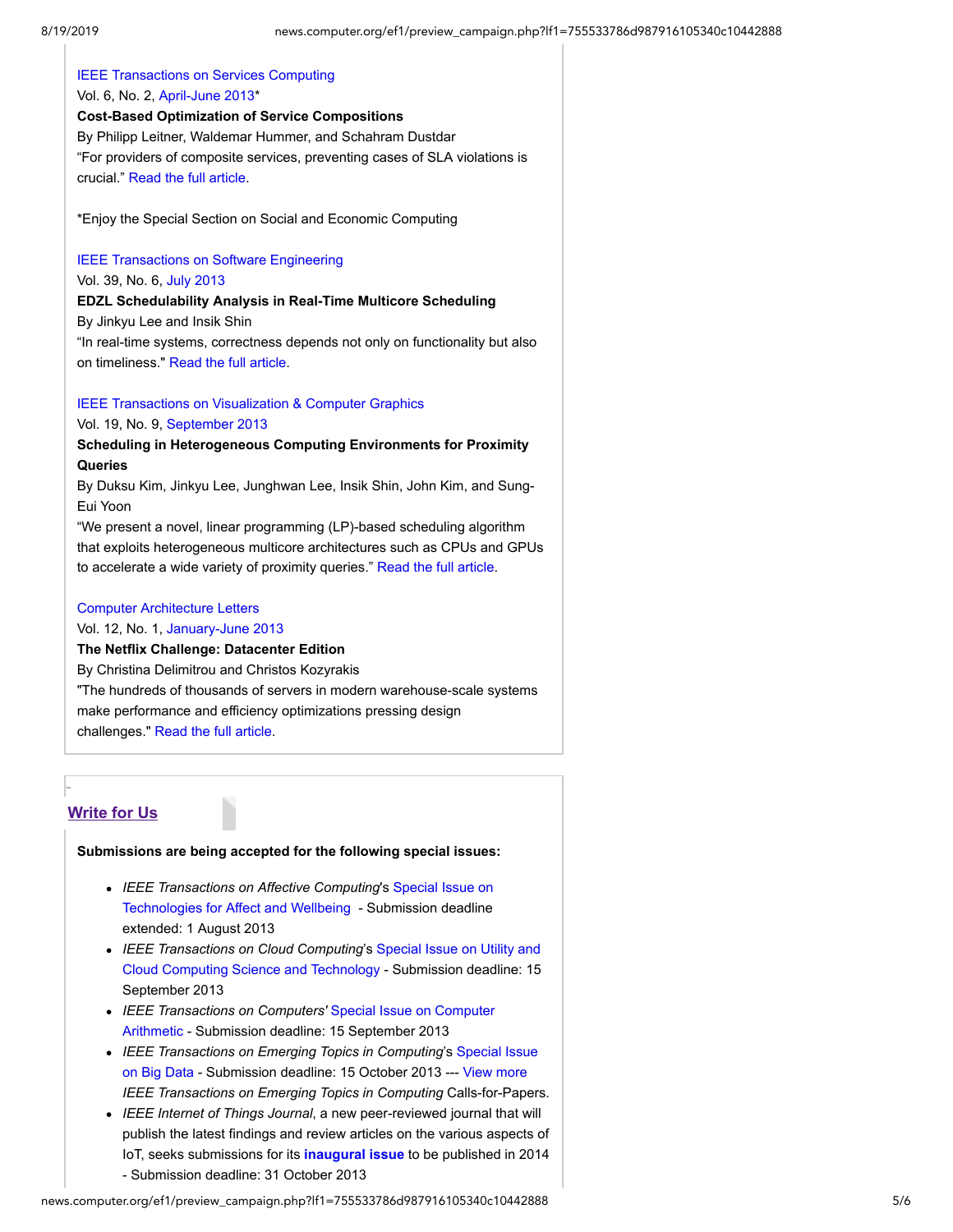| <b>IEEE Transactions on Services Computing</b><br>Vol. 6, No. 2, April-June 2013*                             |
|---------------------------------------------------------------------------------------------------------------|
| <b>Cost-Based Optimization of Service Compositions</b>                                                        |
| By Philipp Leitner, Waldemar Hummer, and Schahram Dustdar                                                     |
| "For providers of composite services, preventing cases of SLA violations is                                   |
| crucial." Read the full article.                                                                              |
| *Enjoy the Special Section on Social and Economic Computing                                                   |
| <b>IEEE Transactions on Software Engineering</b>                                                              |
| Vol. 39, No. 6, July 2013                                                                                     |
| <b>EDZL Schedulability Analysis in Real-Time Multicore Scheduling</b>                                         |
| By Jinkyu Lee and Insik Shin<br>"In real-time systems, correctness depends not only on functionality but also |
| on timeliness." Read the full article.                                                                        |
|                                                                                                               |
| <b>IEEE Transactions on Visualization &amp; Computer Graphics</b>                                             |
| Vol. 19, No. 9, September 2013                                                                                |
| <b>Scheduling in Heterogeneous Computing Environments for Proximity</b>                                       |
| Queries                                                                                                       |
| By Duksu Kim, Jinkyu Lee, Junghwan Lee, Insik Shin, John Kim, and Sung-                                       |
| Eui Yoon                                                                                                      |
| "We present a novel, linear programming (LP)-based scheduling algorithm                                       |
| that exploits heterogeneous multicore architectures such as CPUs and GPUs                                     |
| to accelerate a wide variety of proximity queries." Read the full article.                                    |
| <b>Computer Architecture Letters</b>                                                                          |
| Vol. 12, No. 1, January-June 2013                                                                             |
| The Netflix Challenge: Datacenter Edition                                                                     |
| By Christina Delimitrou and Christos Kozyrakis                                                                |
| "The hundreds of thousands of servers in modern warehouse-scale systems                                       |
| make performance and efficiency optimizations pressing design                                                 |
| challenges." Read the full article.                                                                           |
|                                                                                                               |
|                                                                                                               |
| <b>Write for Us</b>                                                                                           |
| Submissions are being accepted for the following special issues:                                              |
|                                                                                                               |
| IEEE Transactions on Affective Computing's Special Issue on                                                   |
| Technologies for Affect and Wellbeing - Submission deadline                                                   |
| extended: 1 August 2013                                                                                       |
| • IEEE Transactions on Cloud Computing's Special Issue on Utility and                                         |
| Cloud Computing Science and Technology - Submission deadline: 15                                              |

- <span id="page-4-0"></span>September 2013 *IEEE Transactions on Computers'* Special Issue on Computer [Arithmetic - Submission deadline: 15 September 2013](http://www.computer.org/cms/Computer.org/transactions/cfps/cfp_tcsi_arith.pdf?lf1=755533786d987916105340c10442888)
- *IEEE Transactions on Emerging Topics in Computing*'s Special Issue [on Big Data - Submission deadline: 15 October 2013 --- View more](http://www.computer.org/cms/Computer.org/transactions/cfps/cfp_tetcsi_bd2.pdf?lf1=755533786d987916105340c10442888) *IEEE Transactions on Emerging Topics in Computing* Calls-for-Papers.
- *IEEE Internet of Things Journal*, a new peer-reviewed journal that will publish the latest findings and review articles on the various aspects of IoT, seeks submissions for its **[inaugural issue](http://iot-journal.weebly.com/uploads/1/8/8/0/18809834/ieee_iot-j_call_for_papers_final.pdf?lf1=755533786d987916105340c10442888)** to be published in 2014 - Submission deadline: 31 October 2013